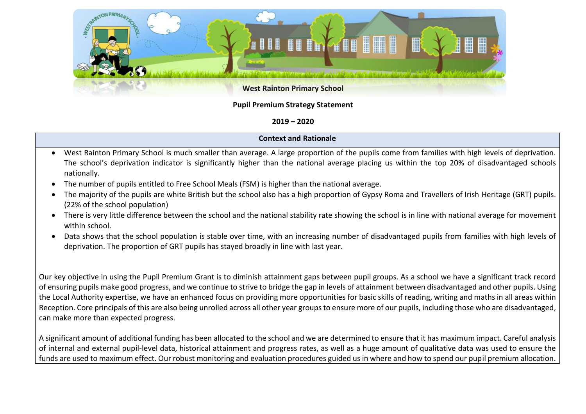

## **Pupil Premium Strategy Statement**

## **2019 – 2020**

## **Context and Rationale**

- West Rainton Primary School is much smaller than average. A large proportion of the pupils come from families with high levels of deprivation. The school's deprivation indicator is significantly higher than the national average placing us within the top 20% of disadvantaged schools nationally.
- The number of pupils entitled to Free School Meals (FSM) is higher than the national average.
- The majority of the pupils are white British but the school also has a high proportion of Gypsy Roma and Travellers of Irish Heritage (GRT) pupils. (22% of the school population)
- There is very little difference between the school and the national stability rate showing the school is in line with national average for movement within school.
- Data shows that the school population is stable over time, with an increasing number of disadvantaged pupils from families with high levels of deprivation. The proportion of GRT pupils has stayed broadly in line with last year.

Our key objective in using the Pupil Premium Grant is to diminish attainment gaps between pupil groups. As a school we have a significant track record of ensuring pupils make good progress, and we continue to strive to bridge the gap in levels of attainment between disadvantaged and other pupils. Using the Local Authority expertise, we have an enhanced focus on providing more opportunities for basic skills of reading, writing and maths in all areas within Reception. Core principals of this are also being unrolled across all other year groups to ensure more of our pupils, including those who are disadvantaged, can make more than expected progress.

A significant amount of additional funding has been allocated to the school and we are determined to ensure that it has maximum impact. Careful analysis of internal and external pupil-level data, historical attainment and progress rates, as well as a huge amount of qualitative data was used to ensure the funds are used to maximum effect. Our robust monitoring and evaluation procedures guided us in where and how to spend our pupil premium allocation.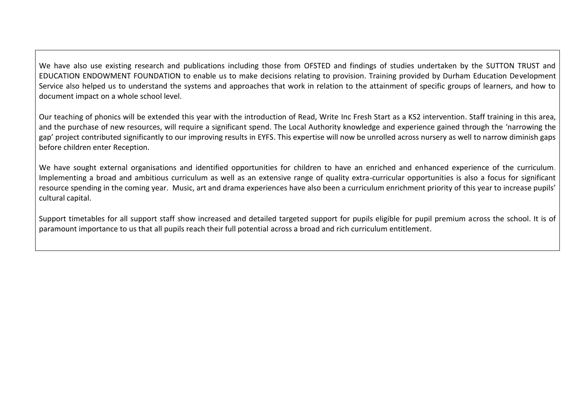We have also use existing research and publications including those from OFSTED and findings of studies undertaken by the SUTTON TRUST and EDUCATION ENDOWMENT FOUNDATION to enable us to make decisions relating to provision. Training provided by Durham Education Development Service also helped us to understand the systems and approaches that work in relation to the attainment of specific groups of learners, and how to document impact on a whole school level.

Our teaching of phonics will be extended this year with the introduction of Read, Write Inc Fresh Start as a KS2 intervention. Staff training in this area, and the purchase of new resources, will require a significant spend. The Local Authority knowledge and experience gained through the 'narrowing the gap' project contributed significantly to our improving results in EYFS. This expertise will now be unrolled across nursery as well to narrow diminish gaps before children enter Reception.

We have sought external organisations and identified opportunities for children to have an enriched and enhanced experience of the curriculum. Implementing a broad and ambitious curriculum as well as an extensive range of quality extra-curricular opportunities is also a focus for significant resource spending in the coming year. Music, art and drama experiences have also been a curriculum enrichment priority of this year to increase pupils' cultural capital.

Support timetables for all support staff show increased and detailed targeted support for pupils eligible for pupil premium across the school. It is of paramount importance to us that all pupils reach their full potential across a broad and rich curriculum entitlement.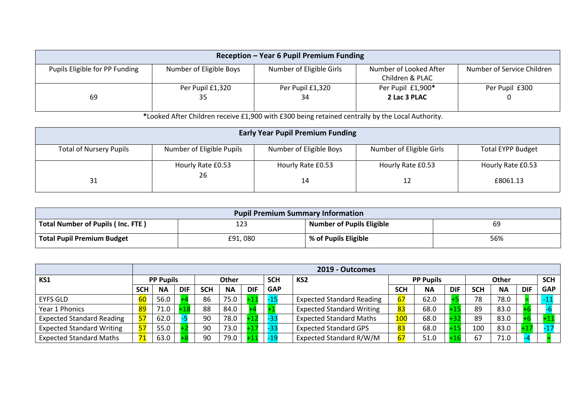| Reception - Year 6 Pupil Premium Funding |                         |                          |                        |                            |  |  |  |
|------------------------------------------|-------------------------|--------------------------|------------------------|----------------------------|--|--|--|
| Pupils Eligible for PP Funding           | Number of Eligible Boys | Number of Eligible Girls | Number of Looked After | Number of Service Children |  |  |  |
|                                          |                         |                          | Children & PLAC        |                            |  |  |  |
|                                          | Per Pupil £1,320        | Per Pupil £1,320         | Per Pupil £1,900*      | Per Pupil £300             |  |  |  |
| 69                                       | 35                      | 34                       | 2 Lac 3 PLAC           |                            |  |  |  |
|                                          |                         |                          |                        |                            |  |  |  |

**\***Looked After Children receive £1,900 with £300 being retained centrally by the Local Authority.

|                                | <b>Early Year Pupil Premium Funding</b> |                         |                          |                          |  |  |  |  |  |
|--------------------------------|-----------------------------------------|-------------------------|--------------------------|--------------------------|--|--|--|--|--|
| <b>Total of Nursery Pupils</b> | Number of Eligible Pupils               | Number of Eligible Boys | Number of Eligible Girls | <b>Total EYPP Budget</b> |  |  |  |  |  |
|                                | Hourly Rate £0.53<br>26                 | Hourly Rate £0.53       | Hourly Rate £0.53        | Hourly Rate £0.53        |  |  |  |  |  |
| 31                             |                                         | 14                      |                          | £8061.13                 |  |  |  |  |  |

| <b>Pupil Premium Summary Information</b> |                       |                           |     |  |  |  |  |
|------------------------------------------|-----------------------|---------------------------|-----|--|--|--|--|
| Total Number of Pupils (Inc. FTE)        | $\ddot{\circ}$<br>123 | Number of Pupils Eligible | 69  |  |  |  |  |
| <b>Total Pupil Premium Budget</b>        | £91,080               | % of Pupils Eligible      | 56% |  |  |  |  |

|                                  |                  | 2019 - Outcomes |            |              |           |                               |            |                                  |            |           |              |            |            |            |            |
|----------------------------------|------------------|-----------------|------------|--------------|-----------|-------------------------------|------------|----------------------------------|------------|-----------|--------------|------------|------------|------------|------------|
| KS1                              | <b>PP Pupils</b> |                 |            | <b>Other</b> |           | <b>SCH</b><br>KS <sub>2</sub> |            | <b>PP Pupils</b>                 |            |           | <b>Other</b> |            | <b>SCH</b> |            |            |
|                                  | <b>SCH</b>       | <b>NA</b>       | <b>DIF</b> | <b>SCH</b>   | <b>NA</b> | <b>DIF</b>                    | <b>GAP</b> |                                  | <b>SCH</b> | <b>NA</b> | <b>DIF</b>   | <b>SCH</b> | <b>NA</b>  | <b>DIF</b> | <b>GAP</b> |
| <b>EYFS GLD</b>                  | 60               | 56.0            |            | 86           | 75.0      | $+11$                         | -15        | <b>Expected Standard Reading</b> | 67         | 62.0      |              | 78         | 78.0       |            |            |
| Year 1 Phonics                   | 89               | 71.0            |            | 88           | 84.0      |                               |            | <b>Expected Standard Writing</b> | 83         | 68.0      |              | 89         | 83.0       |            |            |
| <b>Expected Standard Reading</b> | 57               | 62.0            |            | 90           | 78.0      |                               |            | <b>Expected Standard Maths</b>   | 100        | 68.0      |              | 89         | 83.0       |            |            |
| <b>Expected Standard Writing</b> | 57               | 55.0            |            | 90           | 73.0      |                               |            | <b>Expected Standard GPS</b>     | 83         | 68.0      |              | 100        | 83.0       |            |            |
| <b>Expected Standard Maths</b>   | 71               | 63.0            |            | 90           | 79.0      |                               |            | Expected Standard R/W/M          | 67         | 51.0      |              | 67         | 71.0       |            |            |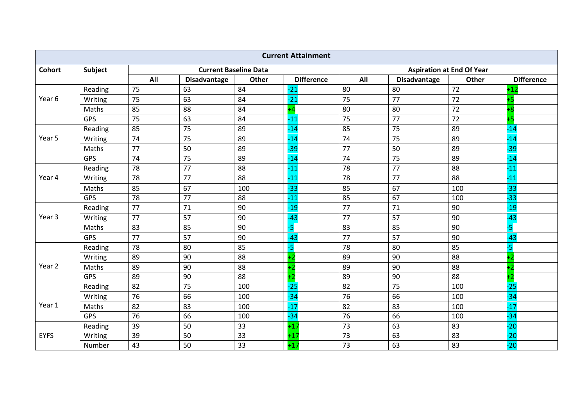|               |            |     |                     |                              | <b>Current Attainment</b> |     |                     |                                  |                   |
|---------------|------------|-----|---------------------|------------------------------|---------------------------|-----|---------------------|----------------------------------|-------------------|
| <b>Cohort</b> | Subject    |     |                     | <b>Current Baseline Data</b> |                           |     |                     | <b>Aspiration at End Of Year</b> |                   |
|               |            | All | <b>Disadvantage</b> | Other                        | <b>Difference</b>         | All | <b>Disadvantage</b> | Other                            | <b>Difference</b> |
|               | Reading    | 75  | 63                  | 84                           | $-21$                     | 80  | 80                  | 72                               | $+12$             |
| Year 6        | Writing    | 75  | 63                  | 84                           | $-21$                     | 75  | 77                  | 72                               | -5                |
|               | Maths      | 85  | 88                  | 84                           |                           | 80  | 80                  | 72                               | $+8$              |
|               | <b>GPS</b> | 75  | 63                  | 84                           | $-11$                     | 75  | 77                  | 72                               | $+5$              |
|               | Reading    | 85  | 75                  | 89                           | $-14$                     | 85  | 75                  | 89                               | $-14$             |
| Year 5        | Writing    | 74  | 75                  | 89                           | $-14$                     | 74  | 75                  | 89                               | $-14$             |
|               | Maths      | 77  | 50                  | 89                           | $-39$                     | 77  | 50                  | 89                               | $-39$             |
|               | GPS        | 74  | 75                  | 89                           | $-14$                     | 74  | 75                  | 89                               | $-14$             |
|               | Reading    | 78  | 77                  | 88                           | $-11$                     | 78  | 77                  | 88                               | $-11$             |
| Year 4        | Writing    | 78  | 77                  | 88                           | $-11$                     | 78  | 77                  | 88                               | $-11$             |
|               | Maths      | 85  | 67                  | 100                          | $-33$                     | 85  | 67                  | 100                              | $-33$             |
|               | GPS        | 78  | 77                  | 88                           | $-11$                     | 85  | 67                  | 100                              | $-33$             |
|               | Reading    | 77  | 71                  | 90                           | $-19$                     | 77  | 71                  | 90                               | $-19$             |
| Year 3        | Writing    | 77  | 57                  | 90                           | $-43$                     | 77  | 57                  | 90                               | $-43$             |
|               | Maths      | 83  | 85                  | 90                           | -5                        | 83  | 85                  | 90                               | $-5$              |
|               | GPS        | 77  | 57                  | 90                           | $-43$                     | 77  | 57                  | 90                               | $-43$             |
|               | Reading    | 78  | 80                  | 85                           | -5                        | 78  | 80                  | 85                               | -5                |
|               | Writing    | 89  | 90                  | 88                           |                           | 89  | 90                  | 88                               |                   |
| Year 2        | Maths      | 89  | 90                  | 88                           |                           | 89  | 90                  | 88                               |                   |
|               | GPS        | 89  | 90                  | 88                           | $+2$                      | 89  | 90                  | 88                               | $+2$              |
|               | Reading    | 82  | 75                  | 100                          | $-25$                     | 82  | 75                  | 100                              | $-25$             |
|               | Writing    | 76  | 66                  | 100                          | $-34$                     | 76  | 66                  | 100                              | $-34$             |
| Year 1        | Maths      | 82  | 83                  | 100                          | $-17$                     | 82  | 83                  | 100                              | $-17$             |
|               | GPS        | 76  | 66                  | 100                          | $-34$                     | 76  | 66                  | 100                              | $-34$             |
|               | Reading    | 39  | 50                  | 33                           | $+17$                     | 73  | 63                  | 83                               | $-20$             |
| <b>EYFS</b>   | Writing    | 39  | 50                  | 33                           | $+17$                     | 73  | 63                  | 83                               | $-20$             |
|               | Number     | 43  | 50                  | 33                           | $+17$                     | 73  | 63                  | 83                               | $-20$             |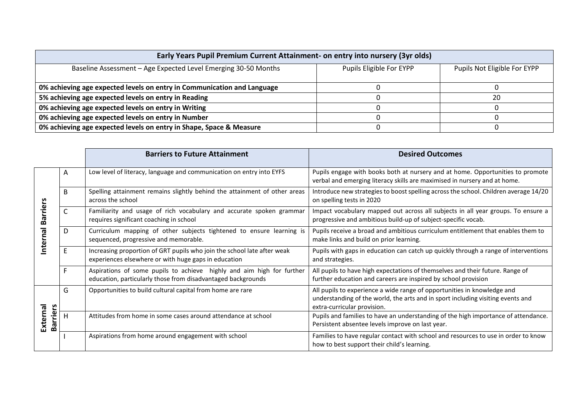| Early Years Pupil Premium Current Attainment- on entry into nursery (3yr olds) |                          |                              |  |  |  |  |  |  |
|--------------------------------------------------------------------------------|--------------------------|------------------------------|--|--|--|--|--|--|
| Baseline Assessment - Age Expected Level Emerging 30-50 Months                 | Pupils Eligible For EYPP | Pupils Not Eligible For EYPP |  |  |  |  |  |  |
| 0% achieving age expected levels on entry in Communication and Language        |                          |                              |  |  |  |  |  |  |
| 5% achieving age expected levels on entry in Reading                           |                          | 20                           |  |  |  |  |  |  |
| 0% achieving age expected levels on entry in Writing                           |                          |                              |  |  |  |  |  |  |
| 0% achieving age expected levels on entry in Number                            |                          |                              |  |  |  |  |  |  |
| 0% achieving age expected levels on entry in Shape, Space & Measure            |                          |                              |  |  |  |  |  |  |

|                             |   | <b>Barriers to Future Attainment</b>                                                                                                  | <b>Desired Outcomes</b>                                                                                                                                                                   |  |  |  |
|-----------------------------|---|---------------------------------------------------------------------------------------------------------------------------------------|-------------------------------------------------------------------------------------------------------------------------------------------------------------------------------------------|--|--|--|
|                             | A | Low level of literacy, language and communication on entry into EYFS                                                                  | Pupils engage with books both at nursery and at home. Opportunities to promote<br>verbal and emerging literacy skills are maximised in nursery and at home.                               |  |  |  |
|                             | B | Spelling attainment remains slightly behind the attainment of other areas<br>across the school                                        | Introduce new strategies to boost spelling across the school. Children average 14/20<br>on spelling tests in 2020                                                                         |  |  |  |
| arriers<br>≃                | C | Familiarity and usage of rich vocabulary and accurate spoken grammar<br>requires significant coaching in school                       | Impact vocabulary mapped out across all subjects in all year groups. To ensure a<br>progressive and ambitious build-up of subject-specific vocab.                                         |  |  |  |
| nternal                     | D | Curriculum mapping of other subjects tightened to ensure learning is<br>sequenced, progressive and memorable.                         | Pupils receive a broad and ambitious curriculum entitlement that enables them to<br>make links and build on prior learning.                                                               |  |  |  |
|                             | E | Increasing proportion of GRT pupils who join the school late after weak<br>experiences elsewhere or with huge gaps in education       | Pupils with gaps in education can catch up quickly through a range of interventions<br>and strategies.                                                                                    |  |  |  |
|                             |   | Aspirations of some pupils to achieve highly and aim high for further<br>education, particularly those from disadvantaged backgrounds | All pupils to have high expectations of themselves and their future. Range of<br>further education and careers are inspired by school provision                                           |  |  |  |
|                             | G | Opportunities to build cultural capital from home are rare                                                                            | All pupils to experience a wide range of opportunities in knowledge and<br>understanding of the world, the arts and in sport including visiting events and<br>extra-curricular provision. |  |  |  |
| External<br><b>Barriers</b> | н | Attitudes from home in some cases around attendance at school                                                                         | Pupils and families to have an understanding of the high importance of attendance.<br>Persistent absentee levels improve on last year.                                                    |  |  |  |
|                             |   | Aspirations from home around engagement with school                                                                                   | Families to have regular contact with school and resources to use in order to know<br>how to best support their child's learning.                                                         |  |  |  |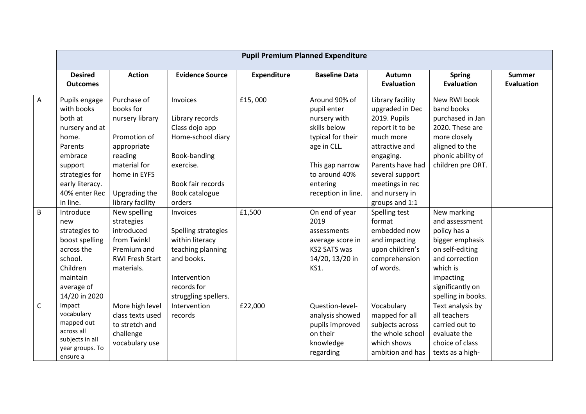|              | <b>Pupil Premium Planned Expenditure</b>                                                                                                                             |                                                                                                                                                            |                                                                                                                                                  |                    |                                                                                                                                                                        |                                                                                                                                                                                                                  |                                                                                                                                                                          |                                    |  |
|--------------|----------------------------------------------------------------------------------------------------------------------------------------------------------------------|------------------------------------------------------------------------------------------------------------------------------------------------------------|--------------------------------------------------------------------------------------------------------------------------------------------------|--------------------|------------------------------------------------------------------------------------------------------------------------------------------------------------------------|------------------------------------------------------------------------------------------------------------------------------------------------------------------------------------------------------------------|--------------------------------------------------------------------------------------------------------------------------------------------------------------------------|------------------------------------|--|
|              | <b>Desired</b><br><b>Outcomes</b>                                                                                                                                    | <b>Action</b>                                                                                                                                              | <b>Evidence Source</b>                                                                                                                           | <b>Expenditure</b> | <b>Baseline Data</b>                                                                                                                                                   | Autumn<br><b>Evaluation</b>                                                                                                                                                                                      | <b>Spring</b><br><b>Evaluation</b>                                                                                                                                       | <b>Summer</b><br><b>Evaluation</b> |  |
| Α            | Pupils engage<br>with books<br>both at<br>nursery and at<br>home.<br>Parents<br>embrace<br>support<br>strategies for<br>early literacy.<br>40% enter Rec<br>in line. | Purchase of<br>books for<br>nursery library<br>Promotion of<br>appropriate<br>reading<br>material for<br>home in EYFS<br>Upgrading the<br>library facility | Invoices<br>Library records<br>Class dojo app<br>Home-school diary<br>Book-banding<br>exercise.<br>Book fair records<br>Book catalogue<br>orders | £15,000            | Around 90% of<br>pupil enter<br>nursery with<br>skills below<br>typical for their<br>age in CLL.<br>This gap narrow<br>to around 40%<br>entering<br>reception in line. | Library facility<br>upgraded in Dec<br>2019. Pupils<br>report it to be<br>much more<br>attractive and<br>engaging.<br>Parents have had<br>several support<br>meetings in rec<br>and nursery in<br>groups and 1:1 | New RWI book<br>band books<br>purchased in Jan<br>2020. These are<br>more closely<br>aligned to the<br>phonic ability of<br>children pre ORT.                            |                                    |  |
| В            | Introduce<br>new<br>strategies to<br>boost spelling<br>across the<br>school.<br>Children<br>maintain<br>average of<br>14/20 in 2020                                  | New spelling<br>strategies<br>introduced<br>from Twinkl<br>Premium and<br><b>RWI Fresh Start</b><br>materials.                                             | Invoices<br>Spelling strategies<br>within literacy<br>teaching planning<br>and books.<br>Intervention<br>records for<br>struggling spellers.     | £1,500             | On end of year<br>2019<br>assessments<br>average score in<br>KS2 SATS was<br>14/20, 13/20 in<br><b>KS1.</b>                                                            | Spelling test<br>format<br>embedded now<br>and impacting<br>upon children's<br>comprehension<br>of words.                                                                                                        | New marking<br>and assessment<br>policy has a<br>bigger emphasis<br>on self-editing<br>and correction<br>which is<br>impacting<br>significantly on<br>spelling in books. |                                    |  |
| $\mathsf{C}$ | Impact<br>vocabulary<br>mapped out<br>across all<br>subjects in all<br>year groups. To<br>ensure a                                                                   | More high level<br>class texts used<br>to stretch and<br>challenge<br>vocabulary use                                                                       | Intervention<br>records                                                                                                                          | £22,000            | Question-level-<br>analysis showed<br>pupils improved<br>on their<br>knowledge<br>regarding                                                                            | Vocabulary<br>mapped for all<br>subjects across<br>the whole school<br>which shows<br>ambition and has                                                                                                           | Text analysis by<br>all teachers<br>carried out to<br>evaluate the<br>choice of class<br>texts as a high-                                                                |                                    |  |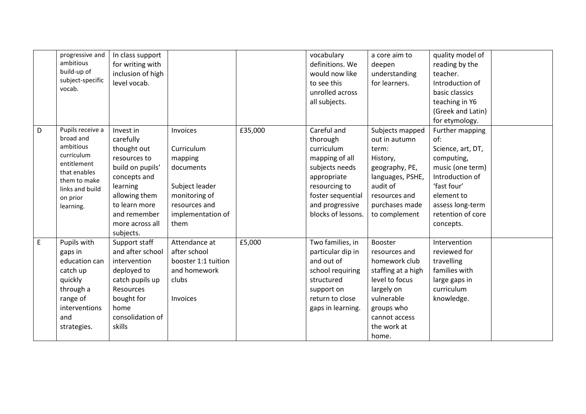|   | progressive and<br>ambitious<br>build-up of<br>subject-specific<br>vocab.                                                                           | In class support<br>for writing with<br>inclusion of high<br>level vocab.                                                                                                               |                                                                                                                                 |         | vocabulary<br>definitions. We<br>would now like<br>to see this<br>unrolled across<br>all subjects.                                                                      | a core aim to<br>deepen<br>understanding<br>for learners.                                                                                                            | quality model of<br>reading by the<br>teacher.<br>Introduction of<br>basic classics<br>teaching in Y6                                                                               |  |
|---|-----------------------------------------------------------------------------------------------------------------------------------------------------|-----------------------------------------------------------------------------------------------------------------------------------------------------------------------------------------|---------------------------------------------------------------------------------------------------------------------------------|---------|-------------------------------------------------------------------------------------------------------------------------------------------------------------------------|----------------------------------------------------------------------------------------------------------------------------------------------------------------------|-------------------------------------------------------------------------------------------------------------------------------------------------------------------------------------|--|
|   |                                                                                                                                                     |                                                                                                                                                                                         |                                                                                                                                 |         |                                                                                                                                                                         |                                                                                                                                                                      | (Greek and Latin)<br>for etymology.                                                                                                                                                 |  |
| D | Pupils receive a<br>broad and<br>ambitious<br>curriculum<br>entitlement<br>that enables<br>them to make<br>links and build<br>on prior<br>learning. | Invest in<br>carefully<br>thought out<br>resources to<br>build on pupils'<br>concepts and<br>learning<br>allowing them<br>to learn more<br>and remember<br>more across all<br>subjects. | Invoices<br>Curriculum<br>mapping<br>documents<br>Subject leader<br>monitoring of<br>resources and<br>implementation of<br>them | £35,000 | Careful and<br>thorough<br>curriculum<br>mapping of all<br>subjects needs<br>appropriate<br>resourcing to<br>foster sequential<br>and progressive<br>blocks of lessons. | Subjects mapped<br>out in autumn<br>term:<br>History,<br>geography, PE,<br>languages, PSHE,<br>audit of<br>resources and<br>purchases made<br>to complement          | Further mapping<br>of:<br>Science, art, DT,<br>computing,<br>music (one term)<br>Introduction of<br>'fast four'<br>element to<br>assess long-term<br>retention of core<br>concepts. |  |
| E | Pupils with<br>gaps in<br>education can<br>catch up<br>quickly<br>through a<br>range of<br>interventions<br>and<br>strategies.                      | Support staff<br>and after school<br>intervention<br>deployed to<br>catch pupils up<br>Resources<br>bought for<br>home<br>consolidation of<br>skills                                    | Attendance at<br>after school<br>booster 1:1 tuition<br>and homework<br>clubs<br>Invoices                                       | £5,000  | Two families, in<br>particular dip in<br>and out of<br>school requiring<br>structured<br>support on<br>return to close<br>gaps in learning.                             | Booster<br>resources and<br>homework club<br>staffing at a high<br>level to focus<br>largely on<br>vulnerable<br>groups who<br>cannot access<br>the work at<br>home. | Intervention<br>reviewed for<br>travelling<br>families with<br>large gaps in<br>curriculum<br>knowledge.                                                                            |  |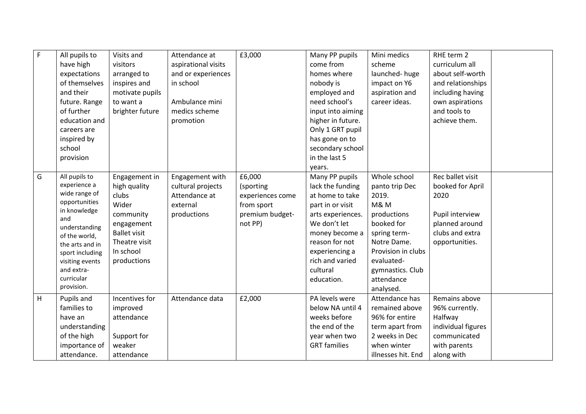| $\mathsf F$ | All pupils to<br>have high<br>expectations<br>of themselves<br>and their<br>future. Range<br>of further<br>education and<br>careers are<br>inspired by<br>school<br>provision                                               | Visits and<br>visitors<br>arranged to<br>inspires and<br>motivate pupils<br>to want a<br>brighter future                                       | Attendance at<br>aspirational visits<br>and or experiences<br>in school<br>Ambulance mini<br>medics scheme<br>promotion | £3,000                                                                              | Many PP pupils<br>come from<br>homes where<br>nobody is<br>employed and<br>need school's<br>input into aiming<br>higher in future.<br>Only 1 GRT pupil<br>has gone on to<br>secondary school<br>in the last 5<br>years. | Mini medics<br>scheme<br>launched-huge<br>impact on Y6<br>aspiration and<br>career ideas.                                                                                                                | RHE term 2<br>curriculum all<br>about self-worth<br>and relationships<br>including having<br>own aspirations<br>and tools to<br>achieve them. |  |
|-------------|-----------------------------------------------------------------------------------------------------------------------------------------------------------------------------------------------------------------------------|------------------------------------------------------------------------------------------------------------------------------------------------|-------------------------------------------------------------------------------------------------------------------------|-------------------------------------------------------------------------------------|-------------------------------------------------------------------------------------------------------------------------------------------------------------------------------------------------------------------------|----------------------------------------------------------------------------------------------------------------------------------------------------------------------------------------------------------|-----------------------------------------------------------------------------------------------------------------------------------------------|--|
| G           | All pupils to<br>experience a<br>wide range of<br>opportunities<br>in knowledge<br>and<br>understanding<br>of the world,<br>the arts and in<br>sport including<br>visiting events<br>and extra-<br>curricular<br>provision. | Engagement in<br>high quality<br>clubs<br>Wider<br>community<br>engagement<br><b>Ballet visit</b><br>Theatre visit<br>In school<br>productions | Engagement with<br>cultural projects<br>Attendance at<br>external<br>productions                                        | £6,000<br>(sporting<br>experiences come<br>from sport<br>premium budget-<br>not PP) | Many PP pupils<br>lack the funding<br>at home to take<br>part in or visit<br>arts experiences.<br>We don't let<br>money become a<br>reason for not<br>experiencing a<br>rich and varied<br>cultural<br>education.       | Whole school<br>panto trip Dec<br>2019.<br><b>M&amp;M</b><br>productions<br>booked for<br>spring term-<br>Notre Dame.<br>Provision in clubs<br>evaluated-<br>gymnastics. Club<br>attendance<br>analysed. | Rec ballet visit<br>booked for April<br>2020<br>Pupil interview<br>planned around<br>clubs and extra<br>opportunities.                        |  |
| H           | Pupils and<br>families to<br>have an<br>understanding<br>of the high<br>importance of<br>attendance.                                                                                                                        | Incentives for<br>improved<br>attendance<br>Support for<br>weaker<br>attendance                                                                | Attendance data                                                                                                         | £2,000                                                                              | PA levels were<br>below NA until 4<br>weeks before<br>the end of the<br>year when two<br><b>GRT</b> families                                                                                                            | Attendance has<br>remained above<br>96% for entire<br>term apart from<br>2 weeks in Dec<br>when winter<br>illnesses hit. End                                                                             | Remains above<br>96% currently.<br>Halfway<br>individual figures<br>communicated<br>with parents<br>along with                                |  |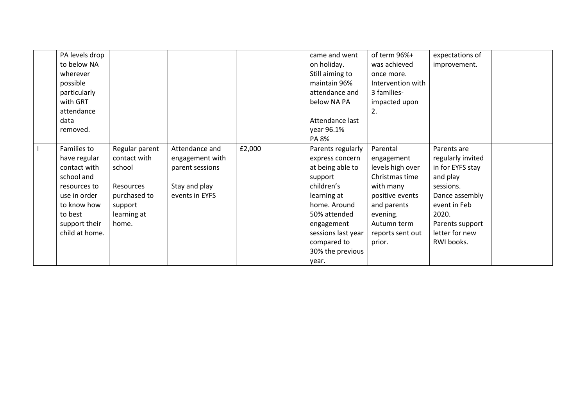| PA levels drop |                |                 |        | came and went      | of term 96%+      | expectations of   |  |
|----------------|----------------|-----------------|--------|--------------------|-------------------|-------------------|--|
| to below NA    |                |                 |        | on holiday.        | was achieved      | improvement.      |  |
| wherever       |                |                 |        | Still aiming to    | once more.        |                   |  |
| possible       |                |                 |        | maintain 96%       | Intervention with |                   |  |
| particularly   |                |                 |        | attendance and     | 3 families-       |                   |  |
| with GRT       |                |                 |        | below NA PA        | impacted upon     |                   |  |
| attendance     |                |                 |        |                    | 2.                |                   |  |
| data           |                |                 |        | Attendance last    |                   |                   |  |
| removed.       |                |                 |        | year 96.1%         |                   |                   |  |
|                |                |                 |        | PA 8%              |                   |                   |  |
| Families to    | Regular parent | Attendance and  | £2,000 | Parents regularly  | Parental          | Parents are       |  |
| have regular   | contact with   | engagement with |        | express concern    | engagement        | regularly invited |  |
| contact with   | school         | parent sessions |        | at being able to   | levels high over  | in for EYFS stay  |  |
| school and     |                |                 |        | support            | Christmas time    | and play          |  |
| resources to   | Resources      | Stay and play   |        | children's         | with many         | sessions.         |  |
| use in order   | purchased to   | events in EYFS  |        | learning at        | positive events   | Dance assembly    |  |
| to know how    | support        |                 |        | home. Around       | and parents       | event in Feb      |  |
| to best        | learning at    |                 |        | 50% attended       | evening.          | 2020.             |  |
| support their  | home.          |                 |        | engagement         | Autumn term       | Parents support   |  |
| child at home. |                |                 |        | sessions last year | reports sent out  | letter for new    |  |
|                |                |                 |        | compared to        | prior.            | RWI books.        |  |
|                |                |                 |        | 30% the previous   |                   |                   |  |
|                |                |                 |        | year.              |                   |                   |  |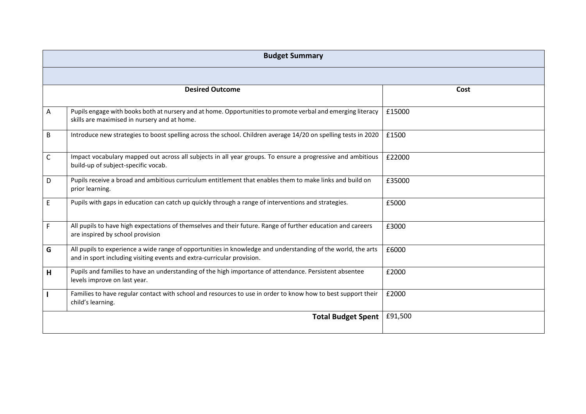|    | <b>Budget Summary</b>                                                                                                                                                                  |         |  |  |  |  |  |  |
|----|----------------------------------------------------------------------------------------------------------------------------------------------------------------------------------------|---------|--|--|--|--|--|--|
|    |                                                                                                                                                                                        |         |  |  |  |  |  |  |
|    | <b>Desired Outcome</b>                                                                                                                                                                 | Cost    |  |  |  |  |  |  |
| A  | Pupils engage with books both at nursery and at home. Opportunities to promote verbal and emerging literacy<br>skills are maximised in nursery and at home.                            | £15000  |  |  |  |  |  |  |
| B  | Introduce new strategies to boost spelling across the school. Children average 14/20 on spelling tests in 2020                                                                         | £1500   |  |  |  |  |  |  |
| C  | Impact vocabulary mapped out across all subjects in all year groups. To ensure a progressive and ambitious<br>build-up of subject-specific vocab.                                      | £22000  |  |  |  |  |  |  |
| D  | Pupils receive a broad and ambitious curriculum entitlement that enables them to make links and build on<br>prior learning.                                                            | £35000  |  |  |  |  |  |  |
| E. | Pupils with gaps in education can catch up quickly through a range of interventions and strategies.                                                                                    | £5000   |  |  |  |  |  |  |
| F. | All pupils to have high expectations of themselves and their future. Range of further education and careers<br>are inspired by school provision                                        | £3000   |  |  |  |  |  |  |
| G  | All pupils to experience a wide range of opportunities in knowledge and understanding of the world, the arts<br>and in sport including visiting events and extra-curricular provision. | £6000   |  |  |  |  |  |  |
| H  | Pupils and families to have an understanding of the high importance of attendance. Persistent absentee<br>levels improve on last year.                                                 | £2000   |  |  |  |  |  |  |
|    | Families to have regular contact with school and resources to use in order to know how to best support their<br>child's learning.                                                      | £2000   |  |  |  |  |  |  |
|    | <b>Total Budget Spent</b>                                                                                                                                                              | £91,500 |  |  |  |  |  |  |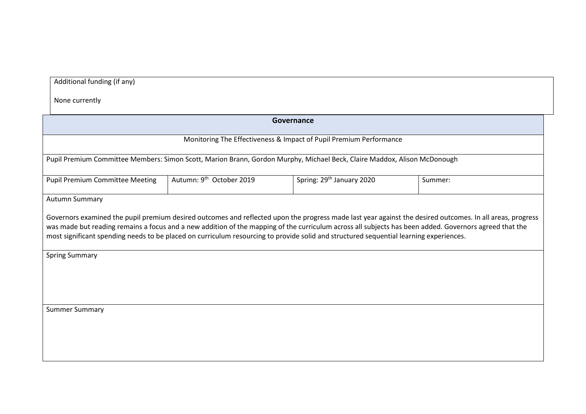Additional funding (if any)

None currently

| Governance                                                                                                                                                                                                                                                                                                                                                                                                                                                                             |                                      |                                       |         |  |  |
|----------------------------------------------------------------------------------------------------------------------------------------------------------------------------------------------------------------------------------------------------------------------------------------------------------------------------------------------------------------------------------------------------------------------------------------------------------------------------------------|--------------------------------------|---------------------------------------|---------|--|--|
| Monitoring The Effectiveness & Impact of Pupil Premium Performance                                                                                                                                                                                                                                                                                                                                                                                                                     |                                      |                                       |         |  |  |
| Pupil Premium Committee Members: Simon Scott, Marion Brann, Gordon Murphy, Michael Beck, Claire Maddox, Alison McDonough                                                                                                                                                                                                                                                                                                                                                               |                                      |                                       |         |  |  |
| <b>Pupil Premium Committee Meeting</b>                                                                                                                                                                                                                                                                                                                                                                                                                                                 | Autumn: 9 <sup>th</sup> October 2019 | Spring: 29 <sup>th</sup> January 2020 | Summer: |  |  |
| Autumn Summary                                                                                                                                                                                                                                                                                                                                                                                                                                                                         |                                      |                                       |         |  |  |
| Governors examined the pupil premium desired outcomes and reflected upon the progress made last year against the desired outcomes. In all areas, progress<br>was made but reading remains a focus and a new addition of the mapping of the curriculum across all subjects has been added. Governors agreed that the<br>most significant spending needs to be placed on curriculum resourcing to provide solid and structured sequential learning experiences.<br><b>Spring Summary</b> |                                      |                                       |         |  |  |
| <b>Summer Summary</b>                                                                                                                                                                                                                                                                                                                                                                                                                                                                  |                                      |                                       |         |  |  |